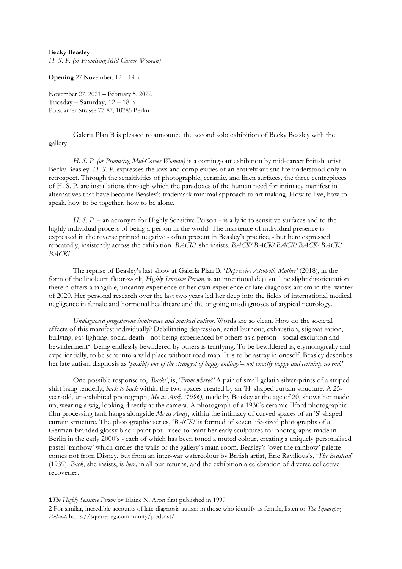## **Becky Beasley**

*H. S. P. (or Promising Mid-Career Woman)*

**Opening** 27 November, 12 – 19 h

November 27, 2021 – February 5, 2022 Tuesday – Saturday, 12 – 18 h Potsdamer Strasse 77-87, 10785 Berlin

Galeria Plan B is pleased to announce the second solo exhibition of Becky Beasley with the gallery.

*H. S. P. (or Promising Mid-Career Woman)* is a coming-out exhibition by mid-career British artist Becky Beasley. *H. S. P.* expresses the joys and complexities of an entirely autistic life understood only in retrospect. Through the sensitivities of photographic, ceramic, and linen surfaces, the three centrepieces of H. S. P. are installations through which the paradoxes of the human need for intimacy manifest in alternatives that have become Beasley's trademark minimal approach to art making. How to live, how to speak, how to be together, how to be alone.

*H. S. P.* – an acronym for Highly Sensitive Person<sup>[1](#page-0-0)</sup>- is a lyric to sensitive surfaces and to the highly individual process of being a person in the world. The insistence of individual presence is expressed in the reverse printed negative - often present in Beasley's practice, - but here expressed repeatedly, insistently across the exhibition. *BACK!,* she insists. *BACK! BACK! BACK! BACK! BACK! BACK!*

The reprise of Beasley's last show at Galeria Plan B, '*Depressive Alcoholic Mother'* (2018), in the form of the linoleum floor-work, *Highly Sensitive Person*, is an intentional déjà vu. The slight disorientation therein offers a tangible, uncanny experience of her own experience of late-diagnosis autism in the winter of 2020. Her personal research over the last two years led her deep into the fields of international medical negligence in female and hormonal healthcare and the ongoing misdiagnoses of atypical neurology.

*Undiagnosed progesterone intolerance and masked autism*. Words are so clean. How do the societal effects of this manifest individually? Debilitating depression, serial burnout, exhaustion, stigmatization, bullying, gas lighting, social death - not being experienced by others as a person - social exclusion and bewilderment<sup>[2](#page-0-1)</sup>. Being endlessly bewildered by others is terrifying. To be bewildered is, etymologically and experientially, to be sent into a wild place without road map. It is to be astray in oneself. Beasley describes her late autism diagnosis as '*possibly one of the strangest of happy endings'– not exactly happy and certainly no end.*'

One possible response to, *'Back!'*, is, '*From where?'* A pair of small gelatin silver-prints of a striped shirt hang tenderly, *back to back* within the two spaces created by an 'H' shaped curtain structure. A 25 year-old, un-exhibited photograph, *Me as Andy (1996),* made by Beasley at the age of 20, shows her made up, wearing a wig, looking directly at the camera. A photograph of a 1930's ceramic Ilford photographic film processing tank hangs alongside *Me as Andy*, within the intimacy of curved spaces of an 'S' shaped curtain structure. The photographic series, '*BACK!'* is formed of seven life-sized photographs of a German-branded glossy black paint pot - used to paint her early sculptures for photographs made in Berlin in the early 2000's - each of which has been toned a muted colour, creating a uniquely personalized pastel 'rainbow' which circles the walls of the gallery's main room. Beasley's 'over the rainbow' palette comes not from Disney, but from an inter-war watercolour by British artist, Eric Ravilious's, '*The Bedstead*' (1939). *Back*, she insists, is *here,* in all our returns, and the exhibition a celebration of diverse collective recoveries.

<span id="page-0-0"></span><sup>1</sup>*The Highly Sensitive Person* by Elaine N. Aron first published in 1999

<span id="page-0-1"></span><sup>2</sup> For similar, incredible accounts of late-diagnosis autism in those who identify as female, listen to *The Squarepeg Podcast*: https://squarepeg.community/podcast/